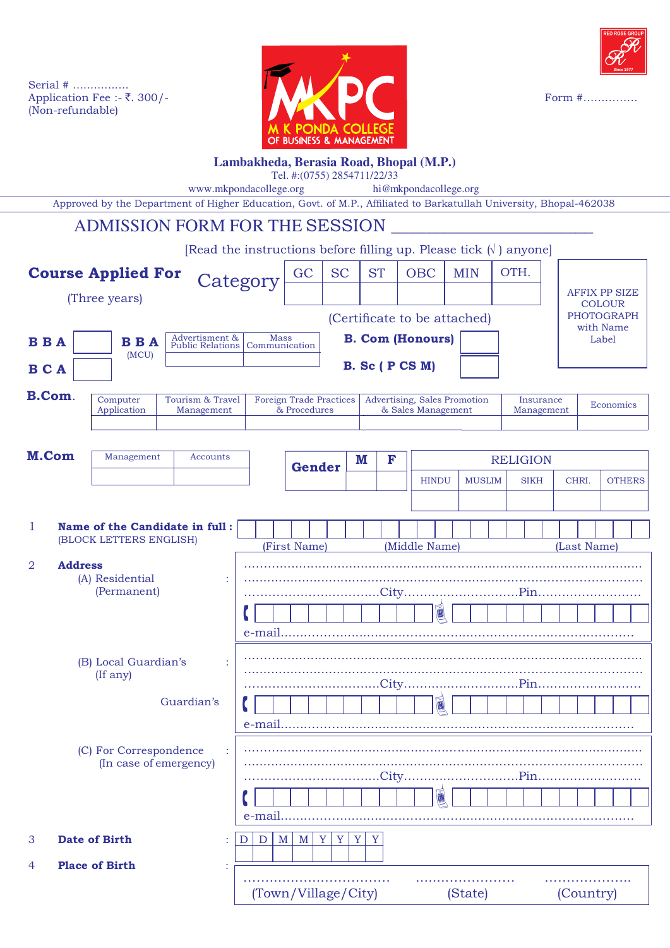



## **Lambakheda, Berasia Road, Bhopal (M.P.)**

Tel. #:(0755) 2854711/22/33

www.mkpondacollege.org hi@mkpondacollege.org

Approved by the Department of Higher Education, Govt. of M.P., Afliated to Barkatullah University, Bhopal-462038

ADMISSION FORM FOR THE SESSION [Read the instructions before filling up. Please tick  $(\sqrt{})$  anyone] **Course Applied For** (Three years)  $\overline{a}$  $\overline{a}$ **B B A B C A B.** Sc ( P CS M) 1 **Name of the Candidate in full :** (BLOCK LETTERS ENGLISH) 2 **Address** (A) Residential : (Permanent) (B) Local Guardian's (If any) (C) For Correspondence (In case of emergency) 3 **Date of Birth** :  $|D| D |M |M |Y |Y |Y |Y$ 4 **Place of Birth** : **Computer** Application Tourism & Travel Management Foreign Trade Practices & Procedures Advertising, Sales Promotion & Sales Management **Insurance** Management Economics **Gender M F RELIGION**  HINDU MUSLIM SIKH CHRI. OTHERS AFFIX PP SIZE **COLOUR** PHOTOGRAPH with Name Label **B.Com**. (First Name) (Middle Name) (Last Name) …….......…...…………… ........…………… ………………..  $GC \mid SC \mid ST \mid OBC \mid MIN \mid OTH$ . Guardian's ...…….............................................................................................. ..................................................................……………………………… ………………….………...City…….......…………….Pin……..………..……. <u>Control de la contra de la contra de la contra de la contra de la contra de la contra de la contra de la contra de l</u> e-mail.......………............………………....………………………………… ...…….............................................................................................. ..................................................................……………………………… ………………….………...City…….......…………….Pin……..………..……. <u>Sentant in the property of the sentance of the sentance of the sentance of the sentance of the sen</u> e-mail.......………............………………....………………………………… ...…….............................................................................................. ..................................................................……………………………… ………………….………...City…….......…………….Pin……..………..……. <u>Elisia la la la la la f</u> e-mail.......………............………………....…………………………………  $\mathbf{\mathcal{L}}$ C ľ  $\frac{1}{2}$  $\frac{1}{2}$  $\frac{1}{2}$ **B B A**  $\left| \right.$  Advertisment & (MCU) Mass Communication **M.Com** Management Accounts **B. Com (Honours) Category** (Certificate to be attached)

(Town/Village/City) (State) (Country)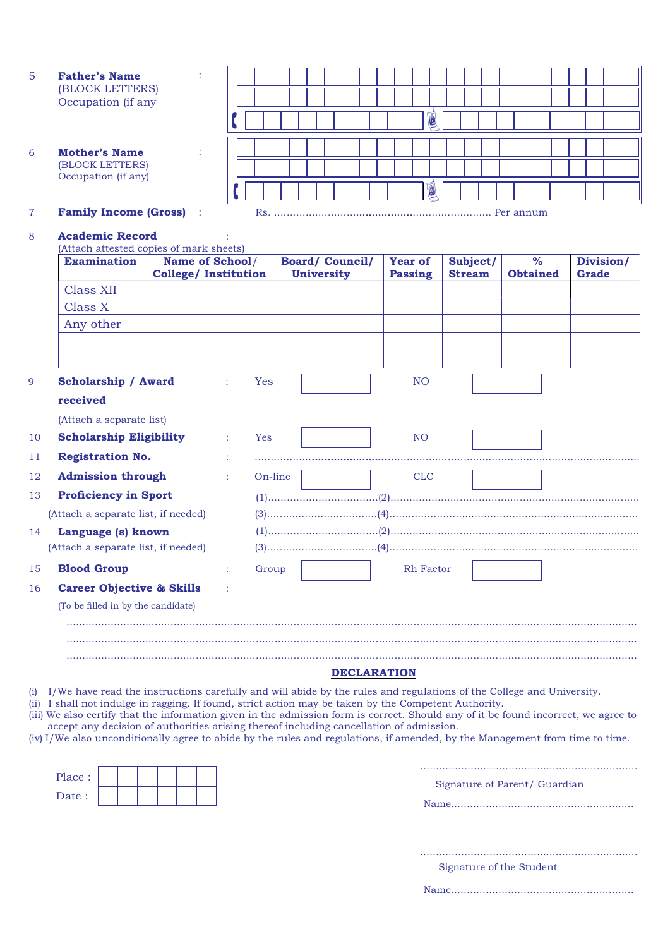| .5 | <b>Father's Name</b> |
|----|----------------------|
|    | (BLOCK LETTERS)      |
|    | Occupation (if any   |

:

:

- 6 **Mother's Name** (BLOCK LETTERS) Occupation (if any)
- **Family Income (Gross)** :

## 7 **Family Income (Gross)** Rs. ..................................................................... Per annum L ………………………..…………………………………………….……. L ………………………..…………………………………………….……. é 富

|    | <b>Examination</b>                   | Name of School/<br><b>College/ Institution</b> |   |            | <b>Board/Council/</b><br><b>University</b> | <b>Year of</b><br><b>Passing</b> | Subject/<br><b>Stream</b> | $\%$<br><b>Obtained</b> | Division/<br><b>Grade</b> |
|----|--------------------------------------|------------------------------------------------|---|------------|--------------------------------------------|----------------------------------|---------------------------|-------------------------|---------------------------|
|    | <b>Class XII</b>                     |                                                |   |            |                                            |                                  |                           |                         |                           |
|    | Class X                              |                                                |   |            |                                            |                                  |                           |                         |                           |
|    | Any other                            |                                                |   |            |                                            |                                  |                           |                         |                           |
|    |                                      |                                                |   |            |                                            |                                  |                           |                         |                           |
|    | <b>Scholarship / Award</b>           |                                                |   | <b>Yes</b> |                                            | N <sub>O</sub>                   |                           |                         |                           |
|    | received                             |                                                |   |            |                                            |                                  |                           |                         |                           |
|    | (Attach a separate list)             |                                                |   |            |                                            |                                  |                           |                         |                           |
|    | <b>Scholarship Eligibility</b>       |                                                | ÷ | <b>Yes</b> |                                            | N <sub>O</sub>                   |                           |                         |                           |
|    | <b>Registration No.</b>              |                                                |   |            |                                            |                                  |                           |                         |                           |
|    | <b>Admission through</b>             |                                                |   | On-line    |                                            | <b>CLC</b>                       |                           |                         |                           |
|    | <b>Proficiency in Sport</b>          |                                                |   |            |                                            |                                  |                           |                         |                           |
|    | (Attach a separate list, if needed)  |                                                |   |            |                                            |                                  |                           |                         |                           |
| 14 | Language (s) known                   |                                                |   |            |                                            |                                  |                           |                         |                           |
|    | (Attach a separate list, if needed)  |                                                |   |            |                                            |                                  |                           |                         |                           |
|    | <b>Blood Group</b>                   |                                                | ÷ | Group      |                                            | Rh Factor                        |                           |                         |                           |
|    | <b>Career Objective &amp; Skills</b> |                                                |   |            |                                            |                                  |                           |                         |                           |
|    | (To be filled in by the candidate)   |                                                |   |            |                                            |                                  |                           |                         |                           |
|    |                                      |                                                |   |            |                                            |                                  |                           |                         |                           |

- (i) I/We have read the instructions carefully and will abide by the rules and regulations of the College and University.
- (ii) I shall not indulge in ragging. If found, strict action may be taken by the Competent Authority. (iii) We also certify that the information given in the admission form is correct. Should any of it be found incorrect, we agree to
- accept any decision of authorities arising thereof including cancellation of admission. (iv) I/We also unconditionally agree to abide by the rules and regulations, if amended, by the Management from time to time.
- 

| Place: |  |  |  |
|--------|--|--|--|
| Date:  |  |  |  |

Signature of Parent/ Guardian

Name..........................................................

.....................................................................

 Signature of the Student .....................................................................

Name..........................................................